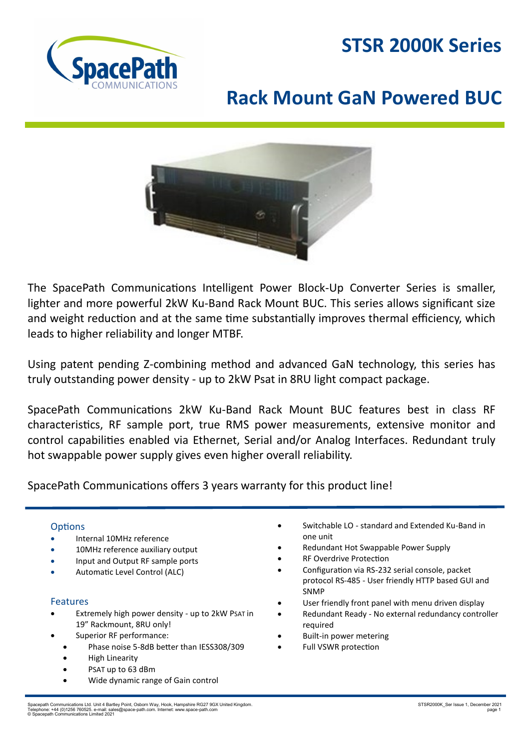# **STSR 2000K Series**



# **Rack Mount GaN Powered BUC**



The SpacePath Communications Intelligent Power Block-Up Converter Series is smaller, lighter and more powerful 2kW Ku-Band Rack Mount BUC. This series allows significant size and weight reduction and at the same time substantially improves thermal efficiency, which leads to higher reliability and longer MTBF.

Using patent pending Z-combining method and advanced GaN technology, this series has truly outstanding power density - up to 2kW Psat in 8RU light compact package.

SpacePath Communications 2kW Ku-Band Rack Mount BUC features best in class RF characteristics, RF sample port, true RMS power measurements, extensive monitor and control capabilities enabled via Ethernet, Serial and/or Analog Interfaces. Redundant truly hot swappable power supply gives even higher overall reliability.

SpacePath Communications offers 3 years warranty for this product line!

### **Options**

- Internal 10MHz reference
- 10MHz reference auxiliary output
- Input and Output RF sample ports
- Automatic Level Control (ALC)

#### Features

- Extremely high power density up to 2kW PSAT in 19" Rackmount, 8RU only!
- Superior RF performance:
	- Phase noise 5-8dB better than IESS308/309
	- High Linearity
	- PSAT up to 63 dBm
	- Wide dynamic range of Gain control
- Switchable LO standard and Extended Ku-Band in one unit
- Redundant Hot Swappable Power Supply
- **RF Overdrive Protection**
- Configuration via RS-232 serial console, packet protocol RS-485 - User friendly HTTP based GUI and SNMP
- User friendly front panel with menu driven display
- Redundant Ready No external redundancy controller required
- Built-in power metering
- Full VSWR protection